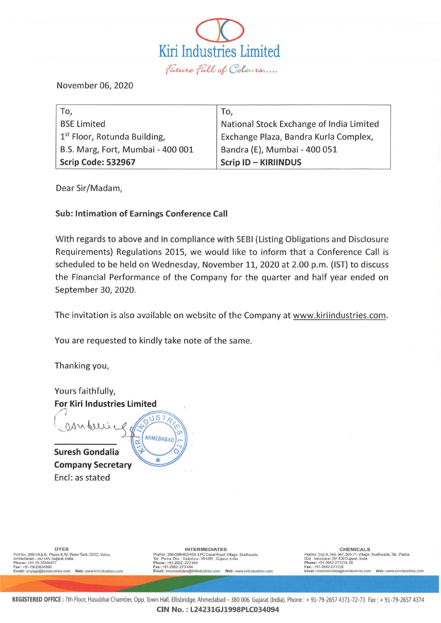

November 06, 2020

| To,                                      | To,                                      |
|------------------------------------------|------------------------------------------|
| <b>BSE Limited</b>                       | National Stock Exchange of India Limited |
| 1 <sup>st</sup> Floor, Rotunda Building, | Exchange Plaza, Bandra Kurla Complex,    |
| B.S. Marg, Fort, Mumbai - 400 001        | Bandra (E), Mumbai - 400 051             |
| Scrip Code: 532967                       | <b>Scrip ID - KIRIINDUS</b>              |

Dear Sir/Madam,

# **Sub: Intimation of Earnings Conference Call**

With regards to above and in compliance with SEBI (Listing Obligations and Disclosure Requirements) Regulations 2015, we would like to inform that a Conference Call is scheduled to be held on Wednesday, November 11, 2020 at 2.00 p.m. (IST) to discuss the Financial Performance of the Company for the quarter and half year ended on September 30, 2020.

The invitation is also available on website of the Company at www.kiriindustries.com.

You are requested to kindly take note of the same.

Thanking you,

Yours faithfully, **For Kiri Industries Limited** 

**Suresh Gondalia Company Secretary** Encl: as stated



**DYES** Plot No : 299/1/A & B, Phase JI, Nr. Water Tank, GIDC, Vatva,<br>Anmedabad --382 445, Gujarat, India.<br>Phone : +91-79-258349477<br>Exa: +91-79-25834960<br>Email : engage@kiriindustries.com Web : www.kiriindustries.com **INTERMEDIATES** 

Plot No: 3967399/403/404 RPC Canal Road, Village : Dudhwada,<br>Tal. : Paulra, Dist. : Vadudara - 391450. Gujarat, Village : Dudhwada,<br>Phone : +91-2662-273444<br>Fax : +91-2662-273444<br>Email : intermediates@kiriindustries.com Web

CHEMICALS Plot No: 552-A, 566, 567, 569-71, Village : Dudhwada, Tal. : Padra,<br>Dist. : Vadodara-391450 Gujarat, India.<br>Phone : +91-2662-273724, 26<br>Exa: +91-2662-273724, 25<br>Email : intermediates@knindustries.com Web : www.kinindustrie

REGISTERED OFFICE: 7th Floor, Hasubhai Chamber, Opp. Town Hall, Ellisbridge, Ahmedabad - 380 006. Gujarat (India). Phone: + 91-79-2657 4371-72-73 Fax: + 91-79-2657 4374

CIN No.: L24231GJ1998PLC034094